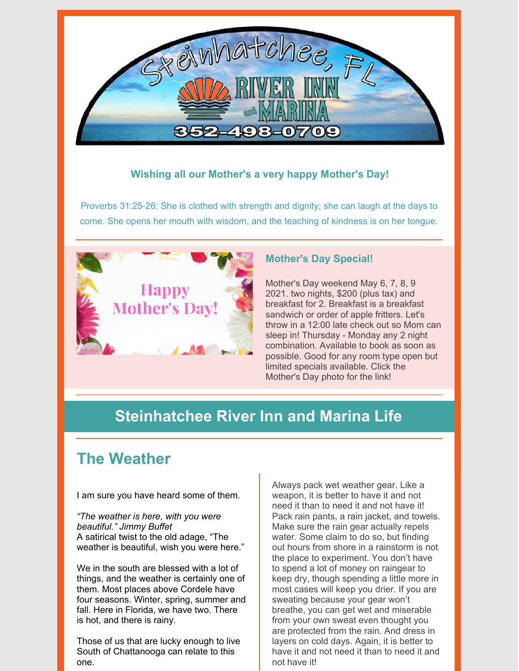

### **Wishing all our Mother's a very happy Mother's Day!**

Proverbs 31:25-26: She is clothed with strength and dignity; she can laugh at the days to come. She opens her mouth with wisdom, and the teaching of kindness is on her tongue.



### **Mother's Day Special!**

Mother's Day weekend May 6, 7, 8, 9 2021. two nights, \$200 (plus tax) and breakfast for 2. Breakfast is a breakfast sandwich or order of apple fritters. Let's throw in a 12:00 late check out so Mom can sleep in! Thursday - Monday any 2 night combination. Available to book as soon as possible. Good for any room type open but limited specials available. Click the Mother's Day photo for the link!

## **Steinhatchee River Inn and Marina Life**

# **The Weather**

I am sure you have heard some of them.

*"The weather is here, with you were beautiful." Jimmy Buffet* A satirical twist to the old adage, "The weather is beautiful, wish you were here."

We in the south are blessed with a lot of things, and the weather is certainly one of them. Most places above Cordele have four seasons. Winter, spring, summer and fall. Here in Florida, we have two. There is hot, and there is rainy.

Those of us that are lucky enough to live South of Chattanooga can relate to this one.

Always pack wet weather gear. Like a weapon, it is better to have it and not need it than to need it and not have it! Pack rain pants, a rain jacket, and towels. Make sure the rain gear actually repels water. Some claim to do so, but finding out hours from shore in a rainstorm is not the place to experiment. You don't have to spend a lot of money on raingear to keep dry, though spending a little more in most cases will keep you drier. If you are sweating because your gear won't breathe, you can get wet and miserable from your own sweat even thought you are protected from the rain. And dress in layers on cold days. Again, it is better to have it and not need it than to need it and not have it!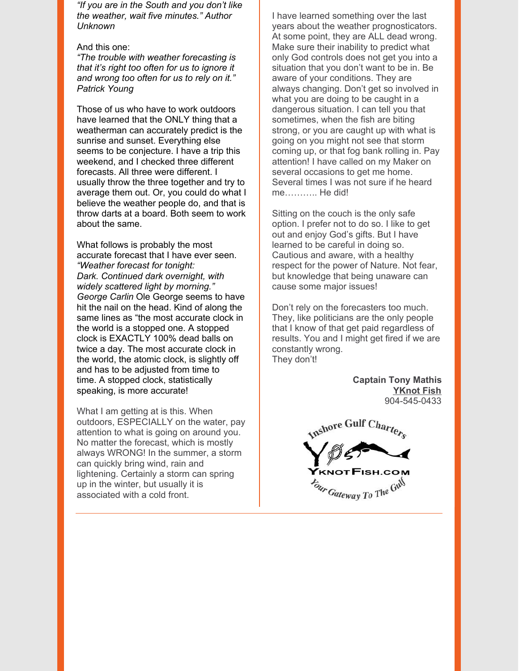*"If you are in the South and you don't like the weather, wait five minutes." Author Unknown*

#### And this one:

*"The trouble with weather forecasting is that it's right too often for us to ignore it and wrong too often for us to rely on it." Patrick Young*

Those of us who have to work outdoors have learned that the ONLY thing that a weatherman can accurately predict is the sunrise and sunset. Everything else seems to be conjecture. I have a trip this weekend, and I checked three different forecasts. All three were different. I usually throw the three together and try to average them out. Or, you could do what I believe the weather people do, and that is throw darts at a board. Both seem to work about the same.

What follows is probably the most accurate forecast that I have ever seen. *"Weather forecast for tonight: Dark. Continued dark overnight, with widely scattered light by morning." George Carlin* Ole George seems to have hit the nail on the head. Kind of along the same lines as "the most accurate clock in the world is a stopped one. A stopped clock is EXACTLY 100% dead balls on twice a day. The most accurate clock in the world, the atomic clock, is slightly off and has to be adjusted from time to time. A stopped clock, statistically speaking, is more accurate!

What I am getting at is this. When outdoors, ESPECIALLY on the water, pay attention to what is going on around you. No matter the forecast, which is mostly always WRONG! In the summer, a storm can quickly bring wind, rain and lightening. Certainly a storm can spring up in the winter, but usually it is associated with a cold front.

I have learned something over the last years about the weather prognosticators. At some point, they are ALL dead wrong. Make sure their inability to predict what only God controls does not get you into a situation that you don't want to be in. Be aware of your conditions. They are always changing. Don't get so involved in what you are doing to be caught in a dangerous situation. I can tell you that sometimes, when the fish are biting strong, or you are caught up with what is going on you might not see that storm coming up, or that fog bank rolling in. Pay attention! I have called on my Maker on several occasions to get me home. Several times I was not sure if he heard me……….. He did!

Sitting on the couch is the only safe option. I prefer not to do so. I like to get out and enjoy God's gifts. But I have learned to be careful in doing so. Cautious and aware, with a healthy respect for the power of Nature. Not fear, but knowledge that being unaware can cause some major issues!

Don't rely on the forecasters too much. They, like politicians are the only people that I know of that get paid regardless of results. You and I might get fired if we are constantly wrong. They don't!

> **Captain Tony Mathis [YKnot](https://www.yknotfish.com/) Fish** 904-545-0433

Inshore Gulf Charters *Gateway To The Gill*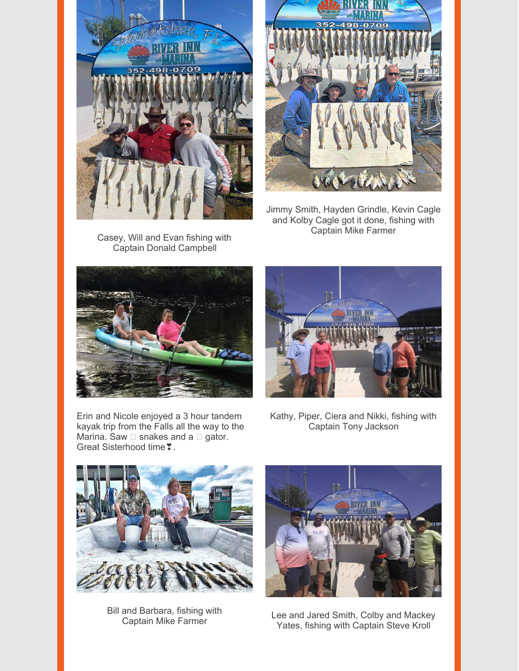

Casey, Will and Evan fishing with Captain Donald Campbell



Jimmy Smith, Hayden Grindle, Kevin Cagle and Kolby Cagle got it done, fishing with Captain Mike Farmer



Erin and Nicole enjoyed a 3 hour tandem kayak trip from the Falls all the way to the Marina. Saw  $\square$  snakes and a  $\square$  gator. Great Sisterhood time  $\degree$ .



Kathy, Piper, Ciera and Nikki, fishing with Captain Tony Jackson



Bill and Barbara, fishing with Captain Mike Farmer



Lee and Jared Smith, Colby and Mackey Yates, fishing with Captain Steve Kroll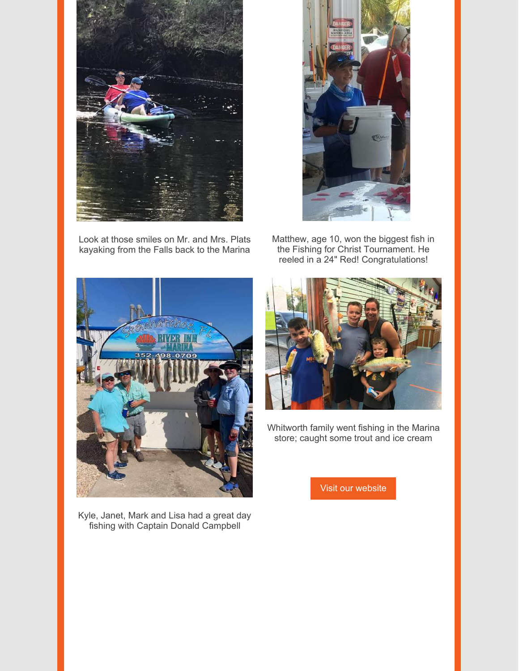

Look at those smiles on Mr. and Mrs. Plats kayaking from the Falls back to the Marina



Matthew, age 10, won the biggest fish in the Fishing for Christ Tournament. He reeled in a 24" Red! Congratulations!



Kyle, Janet, Mark and Lisa had a great day fishing with Captain Donald Campbell



Whitworth family went fishing in the Marina store; caught some trout and ice cream

Visit our [website](https://www.riverinnandmarina.com/)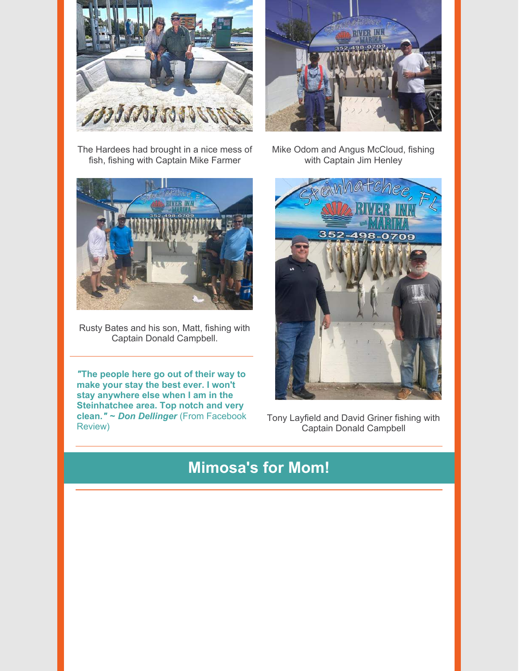



The Hardees had brought in a nice mess of fish, fishing with Captain Mike Farmer



Rusty Bates and his son, Matt, fishing with Captain Donald Campbell.

*"***The people here go out of their way to make your stay the best ever. I won't stay anywhere else when I am in the Steinhatchee area. Top notch and very clean.***"* **~** *Don Dellinger* (From Facebook Review)

Mike Odom and Angus McCloud, fishing with Captain Jim Henley



Tony Layfield and David Griner fishing with Captain Donald Campbell

### **Mimosa's for Mom!**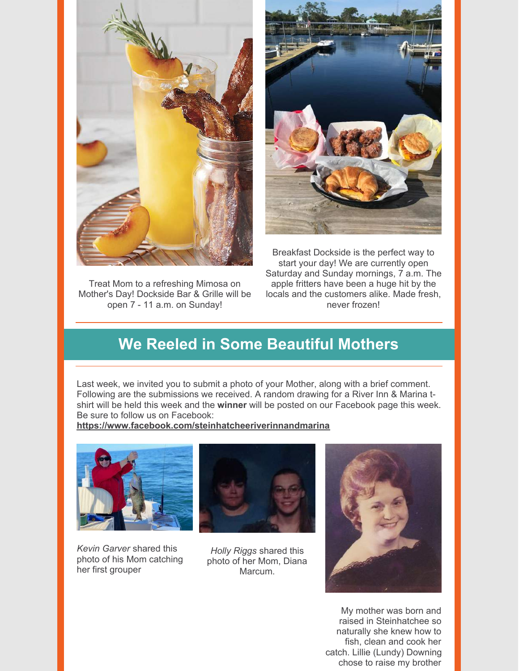

Treat Mom to a refreshing Mimosa on Mother's Day! Dockside Bar & Grille will be open 7 - 11 a.m. on Sunday!



Breakfast Dockside is the perfect way to start your day! We are currently open Saturday and Sunday mornings, 7 a.m. The apple fritters have been a huge hit by the locals and the customers alike. Made fresh, never frozen!

# **We Reeled in Some Beautiful Mothers**

Last week, we invited you to submit a photo of your Mother, along with a brief comment. Following are the submissions we received. A random drawing for a River Inn & Marina tshirt will be held this week and the **winner** will be posted on our Facebook page this week. Be sure to follow us on Facebook:

**<https://www.facebook.com/steinhatcheeriverinnandmarina>**



*Kevin Garver* shared this photo of his Mom catching her first grouper



*Holly Riggs* shared this photo of her Mom, Diana Marcum.



My mother was born and raised in Steinhatchee so naturally she knew how to fish, clean and cook her catch. Lillie (Lundy) Downing chose to raise my brother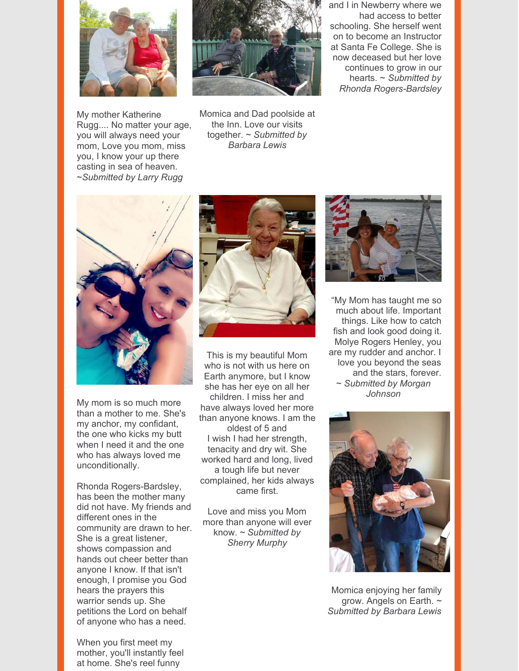

My mother Katherine Rugg.... No matter your age, you will always need your mom, Love you mom, miss you, I know your up there casting in sea of heaven. ~*Submitted by Larry Rugg*



Momica and Dad poolside at the Inn. Love our visits together. ~ *Submitted by Barbara Lewis*

and I in Newberry where we had access to better schooling. She herself went on to become an Instructor at Santa Fe College. She is now deceased but her love continues to grow in our hearts. ~ *Submitted by Rhonda Rogers-Bardsley*



My mom is so much more than a mother to me. She's my anchor, my confidant, the one who kicks my butt when I need it and the one who has always loved me unconditionally.

Rhonda Rogers-Bardsley, has been the mother many did not have. My friends and different ones in the community are drawn to her. She is a great listener, shows compassion and hands out cheer better than anyone I know. If that isn't enough, I promise you God hears the prayers this warrior sends up. She petitions the Lord on behalf of anyone who has a need.

When you first meet my mother, you'll instantly feel at home. She's reel funny



This is my beautiful Mom who is not with us here on Earth anymore, but I know she has her eye on all her children. I miss her and have always loved her more than anyone knows. I am the oldest of 5 and I wish I had her strength, tenacity and dry wit. She worked hard and long, lived a tough life but never complained, her kids always came first.

Love and miss you Mom more than anyone will ever know. ~ *Submitted by Sherry Murphy*



"My Mom has taught me so much about life. Important things. Like how to catch fish and look good doing it. Molye Rogers Henley, you are my rudder and anchor. I love you beyond the seas and the stars, forever. ~ *Submitted by Morgan Johnson*



Momica enjoying her family grow. Angels on Earth. *~ Submitted by Barbara Lewis*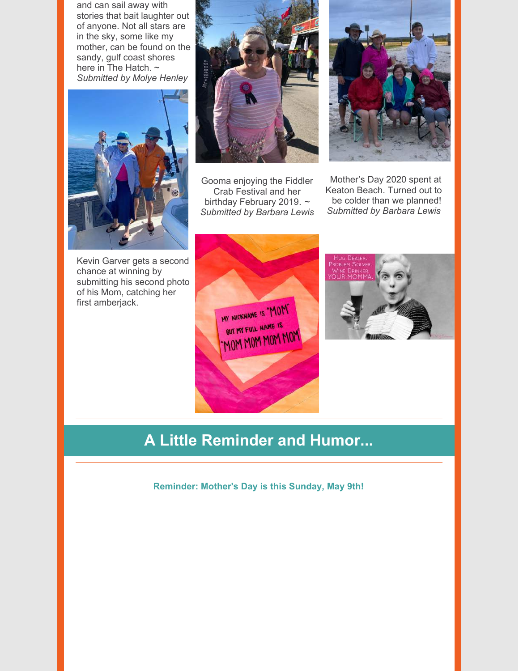and can sail away with stories that bait laughter out of anyone. Not all stars are in the sky, some like my mother, can be found on the sandy, gulf coast shores here in The Hatch. ~ *Submitted by Molye Henley*



Kevin Garver gets a second chance at winning by submitting his second photo of his Mom, catching her first amberjack.



Gooma enjoying the Fiddler Crab Festival and her birthday February 2019. *~ Submitted by Barbara Lewis*



Mother's Day 2020 spent at Keaton Beach. Turned out to be colder than we planned! *Submitted by Barbara Lewis*





# **A Little Reminder and Humor...**

**Reminder: Mother's Day is this Sunday, May 9th!**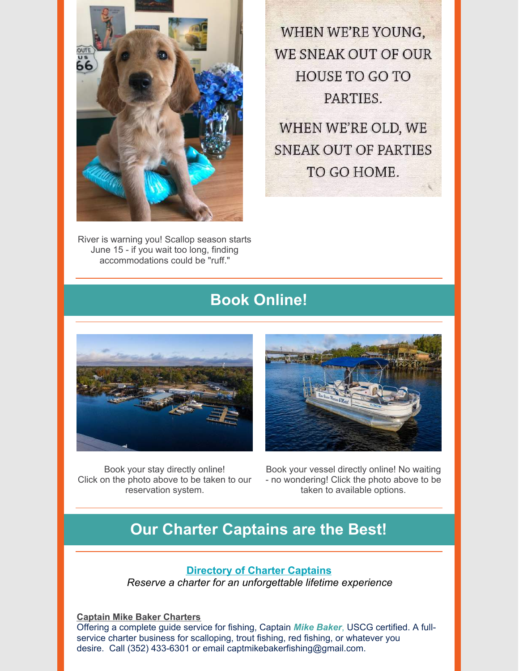

River is warning you! Scallop season starts June 15 - if you wait too long, finding accommodations could be "ruff."

WHEN WE'RE YOUNG, WE SNEAK OUT OF OUR **HOUSE TO GO TO** PARTIES.

WHEN WE'RE OLD, WE SNEAK OUT OF PARTIES TO GO HOME.

# **Book Online!**



Book your stay directly online! Click on the photo above to be taken to our reservation system.



Book your vessel directly online! No waiting - no wondering! Click the photo above to be taken to available options.

### **Our Charter Captains are the Best!**

### **[Directory](https://www.riverinnandmarina.com/fishing) of Charter Captains**

*Reserve a charter for an unforgettable lifetime experience*

**Captain Mike Baker [Charters](https://www.facebook.com/Steinhatcheecharterfishing/)** Offering a complete guide service for fishing, Captain *Mike Baker*, USCG certified. A fullservice charter business for scalloping, trout fishing, red fishing, or whatever you desire. Call (352) 433-6301 or email captmikebakerfishing@gmail.com.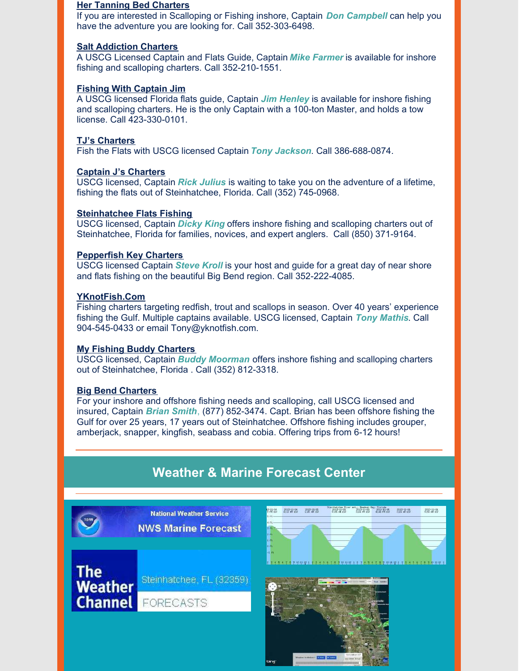#### **Her Tanning Bed [Charters](http://www.hertanningbedscallopcharters.com/)**

If you are interested in Scalloping or Fishing inshore, Captain *Don Campbell* can help you have the adventure you are looking for. Call 352-303-6498.

#### **Salt [Addiction](https://www.sa-charters.com/) Charters**

A USCG Licensed Captain and Flats Guide, Captain *Mike Farmer* is available for inshore fishing and scalloping charters. Call 352-210-1551.

#### **Fishing With [Captain](http://fishingwithcaptainjim.com/) Jim**

A USCG licensed Florida flats guide, Captain *Jim Henley* is available for inshore fishing and scalloping charters. He is the only Captain with a 100-ton Master, and holds a tow license. Call 423-330-0101.

#### **TJ's [Charters](http://www.tjscharters.com/)**

Fish the Flats with USCG licensed Captain *Tony Jackson*. Call 386-688-0874.

#### **Captain J's [Charters](https://www.facebook.com/captainjcharters/)**

USCG licensed, Captain *Rick Julius* is waiting to take you on the adventure of a lifetime, fishing the flats out of Steinhatchee, Florida. Call (352) 745-0968.

#### **[Steinhatchee](https://www.facebook.com/pg/cptndickyking/about/?ref=page_internal) Flats Fishing**

USCG licensed, Captain *Dicky King* offers inshore fishing and scalloping charters out of Steinhatchee, Florida for families, novices, and expert anglers. Call (850) 371-9164.

#### **[Pepperfish](https://www.pepperfishkey.com/) Key Charters**

USCG licensed Captain *Steve Kroll* is your host and guide for a great day of near shore and flats fishing on the beautiful Big Bend region. Call 352-222-4085.

#### **[YKnotFish](https://www.yknotfish.com/).Com**

Fishing charters targeting redfish, trout and scallops in season. Over 40 years' experience fishing the Gulf. Multiple captains available. USCG licensed, Captain *Tony Mathis*. Call 904-545-0433 or email Tony@yknotfish.com.

#### **My Fishing Buddy [Charters](https://myfishingbuddycharters.com/)**

USCG licensed, Captain *Buddy Moorman* offers inshore fishing and scalloping charters out of Steinhatchee, Florida . Call (352) 812-3318.

#### **Big Bend [Charters](https://www.facebook.com/bigbendcharters/)**

For your inshore and offshore fishing needs and scalloping, call USCG licensed and insured, Captain *Brian Smith*, (877) 852-3474. Capt. Brian has been offshore fishing the Gulf for over 25 years, 17 years out of Steinhatchee. Offshore fishing includes grouper, amberjack, snapper, kingfish, seabass and cobia. Offering trips from 6-12 hours!

### **Weather & Marine Forecast Center**